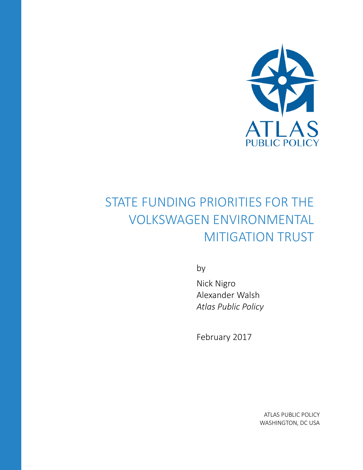

# STATE FUNDING PRIORITIES FOR THE VOLKSWAGEN ENVIRONMENTAL MITIGATION TRUST

by

Nick Nigro Alexander Walsh *Atlas Public Policy*

February 2017

ATLAS PUBLIC POLICY WASHINGTON, DC USA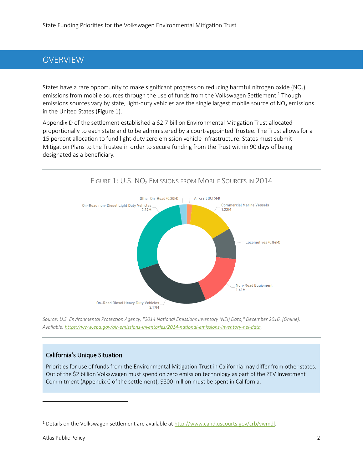#### OVERVIEW

States have a rare opportunity to make significant progress on reducing harmful nitrogen oxide ( $NO<sub>x</sub>$ ) emissions from mobile sources through the use of funds from the Volkswagen Settlement.<sup>1</sup> Though emissions sources vary by state, light-duty vehicles are the single largest mobile source of  $NO<sub>x</sub>$  emissions in the United States [\(Figure 1\)](#page-1-0).

Appendix D of the settlement established a \$2.7 billion Environmental Mitigation Trust allocated proportionally to each state and to be administered by a court-appointed Trustee. The Trust allows for a 15 percent allocation to fund light-duty zero emission vehicle infrastructure. States must submit Mitigation Plans to the Trustee in order to secure funding from the Trust within 90 days of being designated as a beneficiary.

<span id="page-1-0"></span>

*Source: U.S. Environmental Protection Agency, "2014 National Emissions Inventory (NEI) Data," December 2016. [Online]. Available[: https://www.epa.gov/air-emissions-inventories/2014-national-emissions-inventory-nei-data.](https://www.epa.gov/air-emissions-inventories/2014-national-emissions-inventory-nei-data)*

#### California's Unique Situation

Priorities for use of funds from the Environmental Mitigation Trust in California may differ from other states. Out of the \$2 billion Volkswagen must spend on zero emission technology as part of the ZEV Investment Commitment (Appendix C of the settlement), \$800 million must be spent in California.

 $\overline{\phantom{a}}$ 

<sup>1</sup> Details on the Volkswagen settlement are available at [http://www.cand.uscourts.gov/crb/vwmdl.](http://www.cand.uscourts.gov/crb/vwmdl)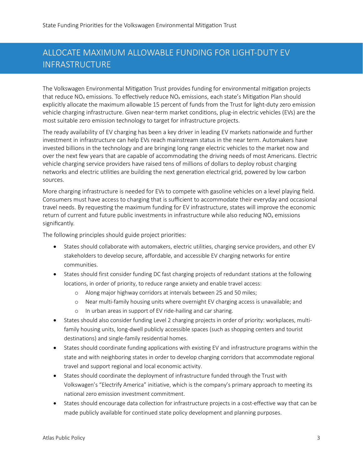## ALLOCATE MAXIMUM ALLOWABLE FUNDING FOR LIGHT-DUTY EV INFRASTRUCTURE

The Volkswagen Environmental Mitigation Trust provides funding for environmental mitigation projects that reduce  $NO<sub>x</sub>$  emissions. To effectively reduce  $NO<sub>x</sub>$  emissions, each state's Mitigation Plan should explicitly allocate the maximum allowable 15 percent of funds from the Trust for light-duty zero emission vehicle charging infrastructure. Given near-term market conditions, plug-in electric vehicles (EVs) are the most suitable zero emission technology to target for infrastructure projects.

The ready availability of EV charging has been a key driver in leading EV markets nationwide and further investment in infrastructure can help EVs reach mainstream status in the near term. Automakers have invested billions in the technology and are bringing long range electric vehicles to the market now and over the next few years that are capable of accommodating the driving needs of most Americans. Electric vehicle charging service providers have raised tens of millions of dollars to deploy robust charging networks and electric utilities are building the next generation electrical grid, powered by low carbon sources.

More charging infrastructure is needed for EVs to compete with gasoline vehicles on a level playing field. Consumers must have access to charging that is sufficient to accommodate their everyday and occasional travel needs. By requesting the maximum funding for EV infrastructure, states will improve the economic return of current and future public investments in infrastructure while also reducing  $NO<sub>x</sub>$  emissions significantly.

The following principles should guide project priorities:

- States should collaborate with automakers, electric utilities, charging service providers, and other EV stakeholders to develop secure, affordable, and accessible EV charging networks for entire communities.
- States should first consider funding DC fast charging projects of redundant stations at the following locations, in order of priority, to reduce range anxiety and enable travel access:
	- o Along major highway corridors at intervals between 25 and 50 miles;
	- o Near multi-family housing units where overnight EV charging access is unavailable; and
	- o In urban areas in support of EV ride-hailing and car sharing.
- States should also consider funding Level 2 charging projects in order of priority: workplaces, multifamily housing units, long-dwell publicly accessible spaces (such as shopping centers and tourist destinations) and single-family residential homes.
- States should coordinate funding applications with existing EV and infrastructure programs within the state and with neighboring states in order to develop charging corridors that accommodate regional travel and support regional and local economic activity.
- States should coordinate the deployment of infrastructure funded through the Trust with Volkswagen's "Electrify America" initiative, which is the company's primary approach to meeting its national zero emission investment commitment.
- States should encourage data collection for infrastructure projects in a cost-effective way that can be made publicly available for continued state policy development and planning purposes.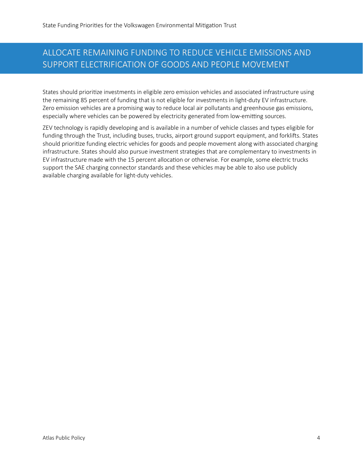## ALLOCATE REMAINING FUNDING TO REDUCE VEHICLE EMISSIONS AND SUPPORT ELECTRIFICATION OF GOODS AND PEOPLE MOVEMENT

States should prioritize investments in eligible zero emission vehicles and associated infrastructure using the remaining 85 percent of funding that is not eligible for investments in light-duty EV infrastructure. Zero emission vehicles are a promising way to reduce local air pollutants and greenhouse gas emissions, especially where vehicles can be powered by electricity generated from low-emitting sources.

ZEV technology is rapidly developing and is available in a number of vehicle classes and types eligible for funding through the Trust, including buses, trucks, airport ground support equipment, and forklifts. States should prioritize funding electric vehicles for goods and people movement along with associated charging infrastructure. States should also pursue investment strategies that are complementary to investments in EV infrastructure made with the 15 percent allocation or otherwise. For example, some electric trucks support the SAE charging connector standards and these vehicles may be able to also use publicly available charging available for light-duty vehicles.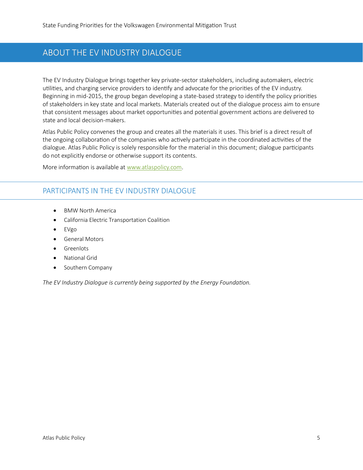#### ABOUT THE EV INDUSTRY DIALOGUE

The EV Industry Dialogue brings together key private-sector stakeholders, including automakers, electric utilities, and charging service providers to identify and advocate for the priorities of the EV industry. Beginning in mid-2015, the group began developing a state-based strategy to identify the policy priorities of stakeholders in key state and local markets. Materials created out of the dialogue process aim to ensure that consistent messages about market opportunities and potential government actions are delivered to state and local decision-makers.

Atlas Public Policy convenes the group and creates all the materials it uses. This brief is a direct result of the ongoing collaboration of the companies who actively participate in the coordinated activities of the dialogue. Atlas Public Policy is solely responsible for the material in this document; dialogue participants do not explicitly endorse or otherwise support its contents.

More information is available at [www.atlaspolicy.com.](http://www.atlaspolicy.com/)

#### PARTICIPANTS IN THE EV INDUSTRY DIALOGUE

- BMW North America
- California Electric Transportation Coalition
- EVgo
- General Motors
- Greenlots
- National Grid
- Southern Company

*The EV Industry Dialogue is currently being supported by the Energy Foundation.*